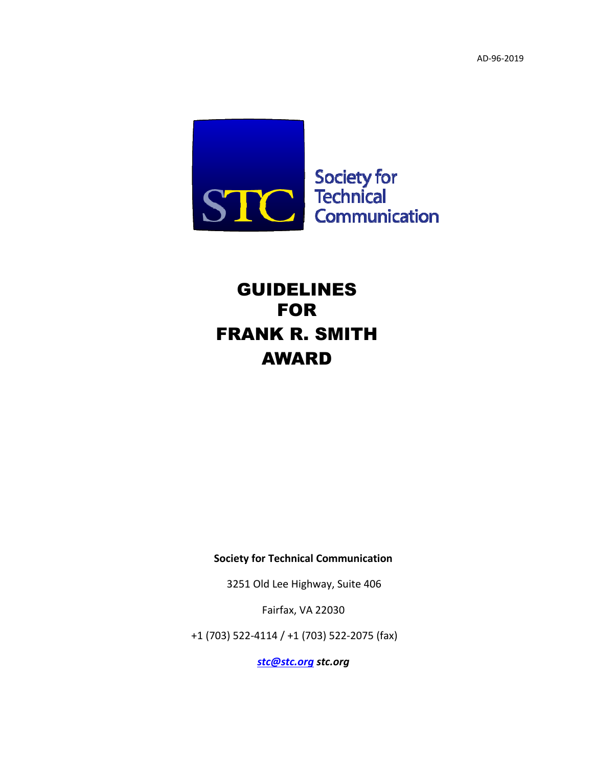AD‐96‐2019



# GUIDELINES FOR FRANK R. SMITH AWARD

**Society for Technical Communication**

3251 Old Lee Highway, Suite 406

Fairfax, VA 22030

+1 (703) 522‐4114 / +1 (703) 522‐2075 (fax)

*[stc@stc.org](mailto:stc@stc.org) [stc.org](http://www.stc.org/)*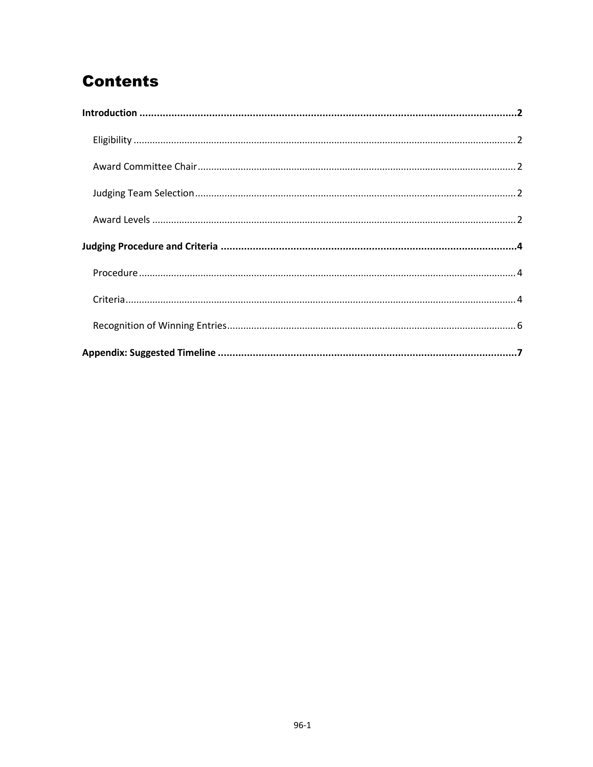# **Contents**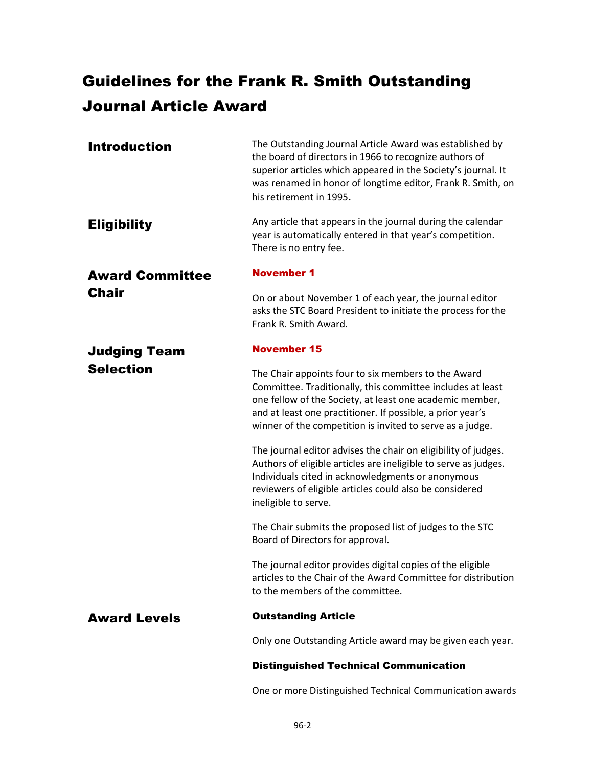# Guidelines for the Frank R. Smith Outstanding Journal Article Award

<span id="page-2-3"></span><span id="page-2-2"></span><span id="page-2-1"></span><span id="page-2-0"></span>

| <b>Introduction</b>    | The Outstanding Journal Article Award was established by<br>the board of directors in 1966 to recognize authors of<br>superior articles which appeared in the Society's journal. It<br>was renamed in honor of longtime editor, Frank R. Smith, on<br>his retirement in 1995.                            |
|------------------------|----------------------------------------------------------------------------------------------------------------------------------------------------------------------------------------------------------------------------------------------------------------------------------------------------------|
| <b>Eligibility</b>     | Any article that appears in the journal during the calendar<br>year is automatically entered in that year's competition.<br>There is no entry fee.                                                                                                                                                       |
| <b>Award Committee</b> | <b>November 1</b>                                                                                                                                                                                                                                                                                        |
| <b>Chair</b>           | On or about November 1 of each year, the journal editor<br>asks the STC Board President to initiate the process for the<br>Frank R. Smith Award.                                                                                                                                                         |
| <b>Judging Team</b>    | <b>November 15</b>                                                                                                                                                                                                                                                                                       |
| <b>Selection</b>       | The Chair appoints four to six members to the Award<br>Committee. Traditionally, this committee includes at least<br>one fellow of the Society, at least one academic member,<br>and at least one practitioner. If possible, a prior year's<br>winner of the competition is invited to serve as a judge. |
|                        | The journal editor advises the chair on eligibility of judges.<br>Authors of eligible articles are ineligible to serve as judges.<br>Individuals cited in acknowledgments or anonymous<br>reviewers of eligible articles could also be considered<br>ineligible to serve.                                |
|                        | The Chair submits the proposed list of judges to the STC<br>Board of Directors for approval.                                                                                                                                                                                                             |
|                        | The journal editor provides digital copies of the eligible<br>articles to the Chair of the Award Committee for distribution<br>to the members of the committee.                                                                                                                                          |
| <b>Award Levels</b>    | <b>Outstanding Article</b>                                                                                                                                                                                                                                                                               |
|                        | Only one Outstanding Article award may be given each year.                                                                                                                                                                                                                                               |
|                        | <b>Distinguished Technical Communication</b>                                                                                                                                                                                                                                                             |

<span id="page-2-4"></span>One or more Distinguished Technical Communication awards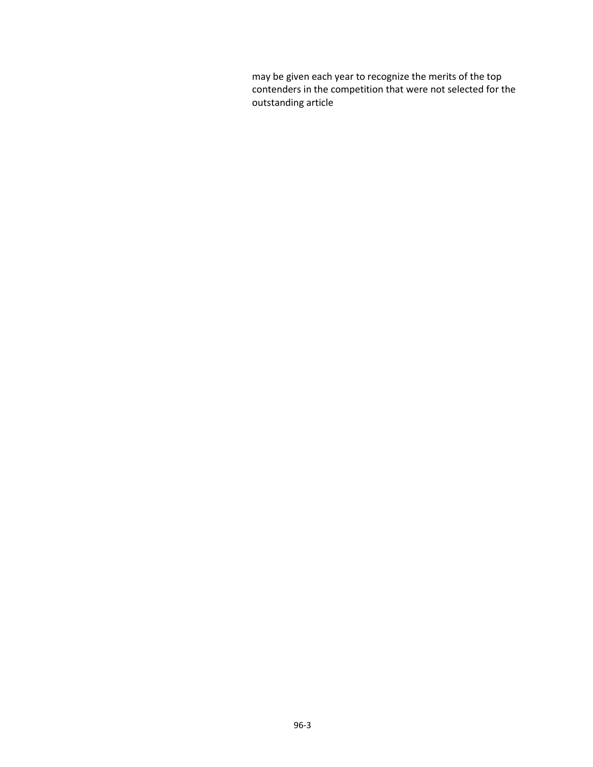may be given each year to recognize the merits of the top contenders in the competition that were not selected for the outstanding article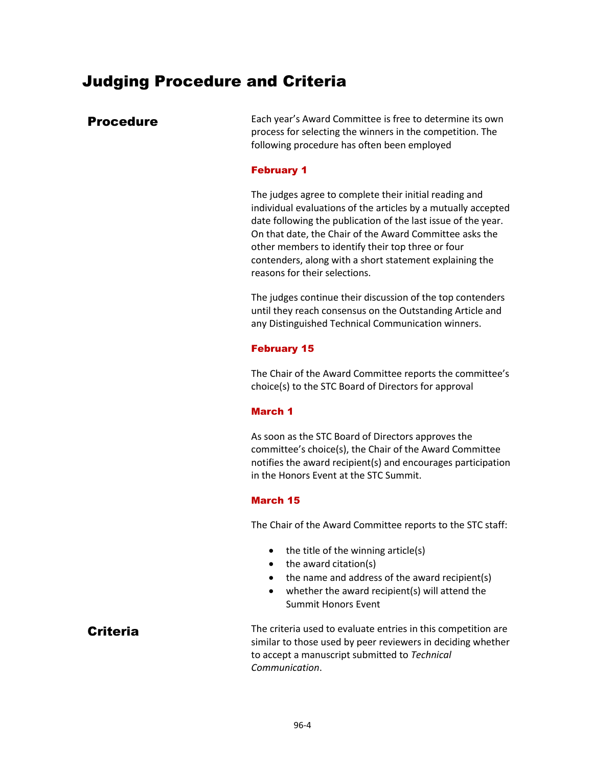## <span id="page-4-0"></span>Judging Procedure and Criteria

<span id="page-4-1"></span>**Procedure** Each year's Award Committee is free to determine its own process for selecting the winners in the competition. The following procedure has often been employed

#### February 1

The judges agree to complete their initial reading and individual evaluations of the articles by a mutually accepted date following the publication of the last issue of the year. On that date, the Chair of the Award Committee asks the other members to identify their top three or four contenders, along with a short statement explaining the reasons for their selections.

The judges continue their discussion of the top contenders until they reach consensus on the Outstanding Article and any Distinguished Technical Communication winners.

#### February 15

The Chair of the Award Committee reports the committee's choice(s) to the STC Board of Directors for approval

#### March 1

As soon as the STC Board of Directors approves the committee's choice(s), the Chair of the Award Committee notifies the award recipient(s) and encourages participation in the Honors Event at the STC Summit.

#### March 15

The Chair of the Award Committee reports to the STC staff:

- the title of the winning article(s)
- the award citation(s)
- the name and address of the award recipient(s)
- whether the award recipient(s) will attend the Summit Honors Event

<span id="page-4-2"></span>Criteria Criteria used to evaluate entries in this competition are similar to those used by peer reviewers in deciding whether to accept a manuscript submitted to *Technical Communication*.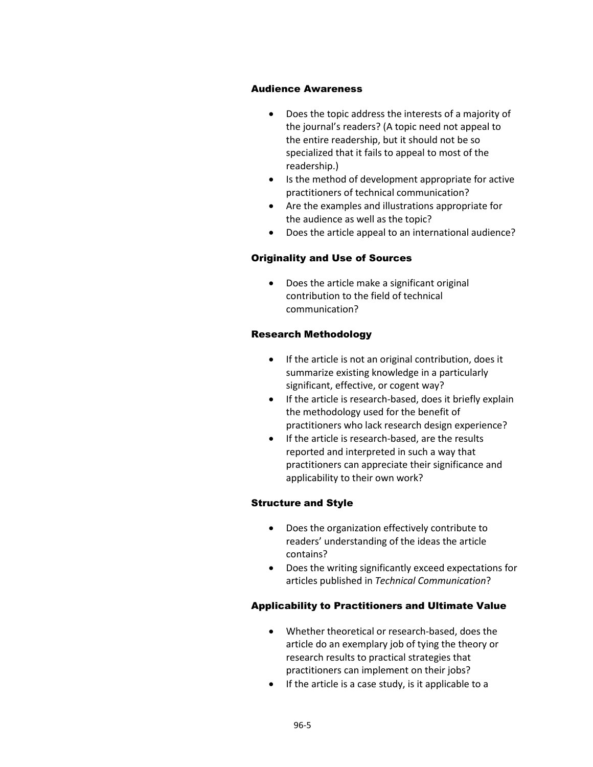#### Audience Awareness

- Does the topic address the interests of a majority of the journal's readers? (A topic need not appeal to the entire readership, but it should not be so specialized that it fails to appeal to most of the readership.)
- Is the method of development appropriate for active practitioners of technical communication?
- Are the examples and illustrations appropriate for the audience as well as the topic?
- Does the article appeal to an international audience?

#### Originality and Use of Sources

• Does the article make a significant original contribution to the field of technical communication?

#### Research Methodology

- If the article is not an original contribution, does it summarize existing knowledge in a particularly significant, effective, or cogent way?
- If the article is research-based, does it briefly explain the methodology used for the benefit of practitioners who lack research design experience?
- If the article is research‐based, are the results reported and interpreted in such a way that practitioners can appreciate their significance and applicability to their own work?

#### Structure and Style

- Does the organization effectively contribute to readers' understanding of the ideas the article contains?
- Does the writing significantly exceed expectations for articles published in *Technical Communication*?

#### Applicability to Practitioners and Ultimate Value

- Whether theoretical or research‐based, does the article do an exemplary job of tying the theory or research results to practical strategies that practitioners can implement on their jobs?
- If the article is a case study, is it applicable to a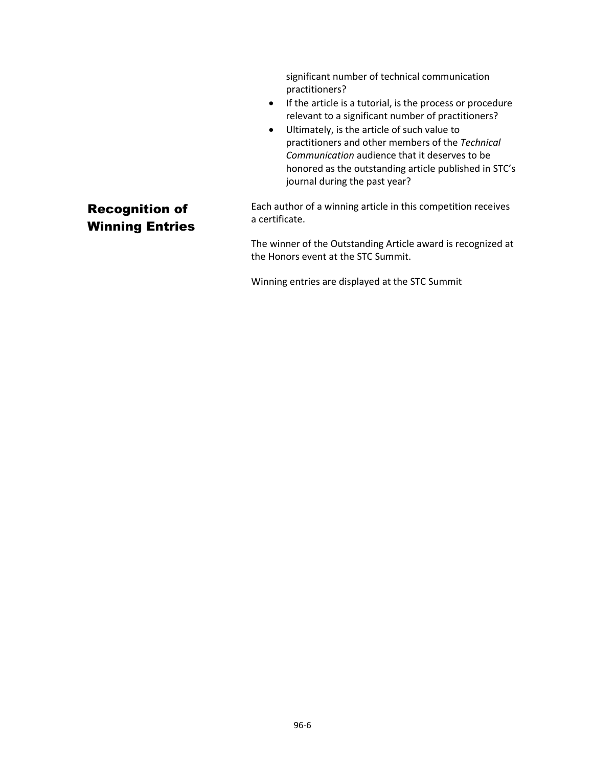significant number of technical communication practitioners?

- If the article is a tutorial, is the process or procedure relevant to a significant number of practitioners?
- Ultimately, is the article of such value to practitioners and other members of the *Technical Communication* audience that it deserves to be honored as the outstanding article published in STC's journal during the past year?

## <span id="page-6-0"></span>Recognition of Winning Entries

Each author of a winning article in this competition receives a certificate.

The winner of the Outstanding Article award is recognized at the Honors event at the STC Summit.

Winning entries are displayed at the STC Summit